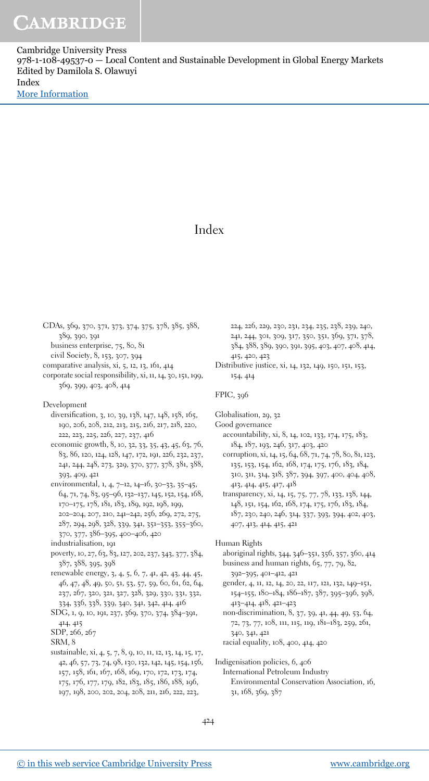Cambridge University Press 978-1-108-49537-0 — Local Content and Sustainable Development in Global Energy Markets Edited by Damilola S. Olawuyi Index [More Information](www.cambridge.org/9781108495370)

## Index

CDAs, 369, 370, 371, 373, 374, 375, 378, 385, 388, 389, 390, 391 business enterprise, 75, 80, 81 civil Society, 8, 153, 307, 394 comparative analysis, xi, 5, 12, 13, 161, 414 corporate social responsibility, xi, 11, 14, 30, 151, 199, 369, 399, 403, 408, 414 Development diversification, 3, 10, 39, 138, 147, 148, 158, 165, 190, 206, 208, 212, 213, 215, 216, 217, 218, 220, 222, 223, 225, 226, 227, 237, 416 economic growth, 8, 10, 32, 33, 35, 43, 45, 63, 76, 83, 86, 120, 124, 128, 147, 172, 191, 226, 232, 237, 241, 244, 248, 273, 329, 370, 377, 378, 381, 388, 393, 409, 421 environmental, 1, 4, 7–12, 14–16, 30–33, 35–45, 64, 71, 74, 83, 95–96, 132–137, 145, 152, 154, 168, 170–175, 178, 181, 183, 189, 192, 198, 199, 202–204, 207, 210, 241–242, 256, 269, 272, 275, 287, 294, 298, 328, 339, 341, 351–353, 355–360, 370, 377, 386–395, 400–406, 420 industrialisation, 191 poverty, 10, 27, 63, 83, 127, 202, 237, 343, 377, 384, 387, 388, 395, 398 renewable energy, 3, 4, 5, 6, 7, 41, 42, 43, 44, 45, 46, 47, 48, 49, 50, 51, 53, 57, 59, 60, 61, 62, 64, 237, 267, 320, 321, 327, 328, 329, 330, 331, 332, 334, 336, 338, 339, 340, 341, 342, 414, 416 SDG, 1, 9, 10, 191, 237, 369, 370, 374, 384–391, 414, 415 SDP, 266, 267 SRM, 8 sustainable, xi, 4, 5, 7, 8, 9, 10, 11, 12, 13, 14, 15, 17, 42, 46, 57, 73, 74, 98, 130, 132, 142, 145, 154, 156, 157, 158, 161, 167, 168, 169, 170, 172, 173, 174,

, 226, 229, 230, 231, 234, 235, 238, 239, 240, , 244, 301, 309, 317, 350, 351, 369, 371, 378, , 388, 389, 390, 391, 395, 403, 407, 408, 414, , 420, 423

Distributive justice, xi, 14, 132, 149, 150, 151, 153, 154, 414

## FPIC, 396

Globalisation, 29, 32

- Good governance
	- accountability, xi, 8, 14, 102, 133, 174, 175, 183, 184, 187, 193, 246, 317, 403, 420
	- corruption, xi, 14, 15, 64, 68, 71, 74, 78, 80, 81, 123, 135, 153, 154, 162, 168, 174, 175, 176, 183, 184, 310, 311, 314, 318, 387, 394, 397, 400, 404, 408, 413, 414, 415, 417, 418

transparency, xi, 14, 15, 75, 77, 78, 133, 138, 144, , 151, 154, 162, 168, 174, 175, 176, 183, 184, , 230, 240, 246, 314, 337, 393, 394, 402, 403, , 413, 414, 415, 421

Human Rights

aboriginal rights, 344, 346–351, 356, 357, 360, 414 business and human rights, 65, 77, 79, 82, 392–395, 401–412, 421

gender, 4, 11, 12, 14, 20, 22, 117, 121, 132, 149–151, 154–155, 180–184, 186–187, 387, 395–396, 398, 413–414, 418, 421–423

non-discrimination, 8, 37, 39, 41, 44, 49, 53, 64, 72, 73, 77, 108, 111, 115, 119, 181–183, 259, 261, 340, 341, 421 racial equality, 108, 400, 414, 420

Indigenisation policies, 6, 406 International Petroleum Industry Environmental Conservation Association, 16, 31, 168, 369, 387

175, 176, 177, 179, 182, 183, 185, 186, 188, 196, 197, 198, 200, 202, 204, 208, 211, 216, 222, 223,